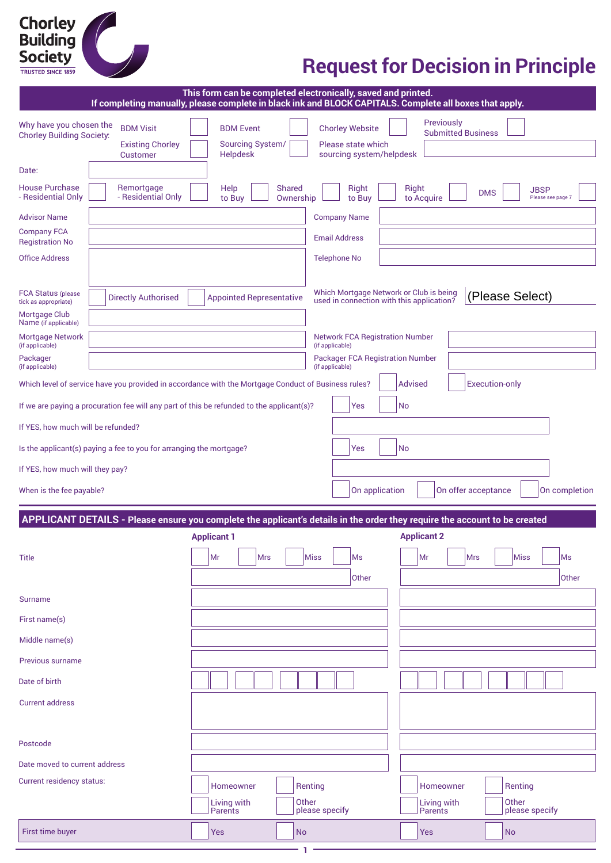# **Chorley<br>Building<br>Society**

## **Request for Decision in Principle**

| This form can be completed electronically, saved and printed.<br>If completing manually, please complete in black ink and BLOCK CAPITALS. Complete all boxes that apply. |                                                                                                     |                                                         |                            |                                                                          |                                                                                                                            |  |
|--------------------------------------------------------------------------------------------------------------------------------------------------------------------------|-----------------------------------------------------------------------------------------------------|---------------------------------------------------------|----------------------------|--------------------------------------------------------------------------|----------------------------------------------------------------------------------------------------------------------------|--|
| Why have you chosen the<br><b>Chorley Building Society:</b>                                                                                                              | <b>BDM Visit</b><br><b>Existing Chorley</b><br>Customer                                             | <b>BDM Event</b><br><b>Sourcing System/</b><br>Helpdesk |                            | <b>Chorley Website</b><br>Please state which<br>sourcing system/helpdesk | Previously<br><b>Submitted Business</b>                                                                                    |  |
| Date:                                                                                                                                                                    |                                                                                                     |                                                         |                            |                                                                          |                                                                                                                            |  |
| <b>House Purchase</b><br>- Residential Only                                                                                                                              | Remortgage<br>- Residential Only                                                                    | Help<br>to Buy                                          | <b>Shared</b><br>Ownership | Right<br>to Buy                                                          | Right<br><b>JBSP</b><br><b>DMS</b><br>to Acquire<br>Please see page 7                                                      |  |
| <b>Advisor Name</b>                                                                                                                                                      |                                                                                                     |                                                         |                            | <b>Company Name</b>                                                      |                                                                                                                            |  |
| <b>Company FCA</b><br><b>Registration No</b>                                                                                                                             |                                                                                                     |                                                         |                            | <b>Email Address</b>                                                     |                                                                                                                            |  |
| <b>Office Address</b>                                                                                                                                                    |                                                                                                     |                                                         |                            | <b>Telephone No</b>                                                      |                                                                                                                            |  |
| <b>FCA Status (please)</b><br>tick as appropriate)                                                                                                                       | <b>Directly Authorised</b>                                                                          | <b>Appointed Representative</b>                         |                            |                                                                          | Which Mortgage Network or Club is being<br>(Please Select)<br>used in connection with this application?                    |  |
| Mortgage Club<br>Name (if applicable)                                                                                                                                    |                                                                                                     |                                                         |                            |                                                                          |                                                                                                                            |  |
| Mortgage Network<br>(if applicable)                                                                                                                                      |                                                                                                     |                                                         |                            | <b>Network FCA Registration Number</b><br>(if applicable)                |                                                                                                                            |  |
| Packager<br>(if applicable)                                                                                                                                              |                                                                                                     |                                                         |                            | <b>Packager FCA Registration Number</b><br>(if applicable)               |                                                                                                                            |  |
|                                                                                                                                                                          | Which level of service have you provided in accordance with the Mortgage Conduct of Business rules? |                                                         |                            |                                                                          | <b>Execution-only</b><br>Advised                                                                                           |  |
|                                                                                                                                                                          | If we are paying a procuration fee will any part of this be refunded to the applicant(s)?           |                                                         |                            | Yes                                                                      | No                                                                                                                         |  |
| If YES, how much will be refunded?                                                                                                                                       |                                                                                                     |                                                         |                            |                                                                          |                                                                                                                            |  |
|                                                                                                                                                                          | Is the applicant(s) paying a fee to you for arranging the mortgage?                                 |                                                         |                            | Yes                                                                      | No                                                                                                                         |  |
| If YES, how much will they pay?                                                                                                                                          |                                                                                                     |                                                         |                            |                                                                          |                                                                                                                            |  |
| When is the fee payable?                                                                                                                                                 |                                                                                                     |                                                         |                            | On application                                                           | On completion<br>On offer acceptance                                                                                       |  |
|                                                                                                                                                                          |                                                                                                     |                                                         |                            |                                                                          | APPLICANT DETAILS - Please ensure you complete the applicant's details in the order they require the account to be created |  |
|                                                                                                                                                                          |                                                                                                     | <b>Applicant 1</b>                                      |                            |                                                                          | <b>Applicant 2</b>                                                                                                         |  |
| <b>Title</b>                                                                                                                                                             |                                                                                                     | Mr<br><b>Mrs</b>                                        |                            | Miss<br>Ms<br>Other                                                      | Miss<br>Mr<br><b>Mrs</b><br>Ms<br>Other                                                                                    |  |
| <b>Surname</b>                                                                                                                                                           |                                                                                                     |                                                         |                            |                                                                          |                                                                                                                            |  |
| First name(s)                                                                                                                                                            |                                                                                                     |                                                         |                            |                                                                          |                                                                                                                            |  |
| Middle name(s)                                                                                                                                                           |                                                                                                     |                                                         |                            |                                                                          |                                                                                                                            |  |
| Previous surname                                                                                                                                                         |                                                                                                     |                                                         |                            |                                                                          |                                                                                                                            |  |
| Date of birth                                                                                                                                                            |                                                                                                     |                                                         |                            |                                                                          |                                                                                                                            |  |
| <b>Current address</b>                                                                                                                                                   |                                                                                                     |                                                         |                            |                                                                          |                                                                                                                            |  |
| Postcode                                                                                                                                                                 |                                                                                                     |                                                         |                            |                                                                          |                                                                                                                            |  |
| Date moved to current address                                                                                                                                            |                                                                                                     |                                                         |                            |                                                                          |                                                                                                                            |  |
| <b>Current residency status:</b>                                                                                                                                         |                                                                                                     | Homeowner                                               |                            | Renting                                                                  | Homeowner<br>Renting                                                                                                       |  |
|                                                                                                                                                                          |                                                                                                     | Living with<br>Parents                                  |                            | Other<br>please specify                                                  | Other<br>Living with<br>please specify<br>Parents                                                                          |  |
| First time buyer                                                                                                                                                         |                                                                                                     | Yes                                                     | <b>No</b>                  |                                                                          | Yes<br><b>No</b>                                                                                                           |  |

**1**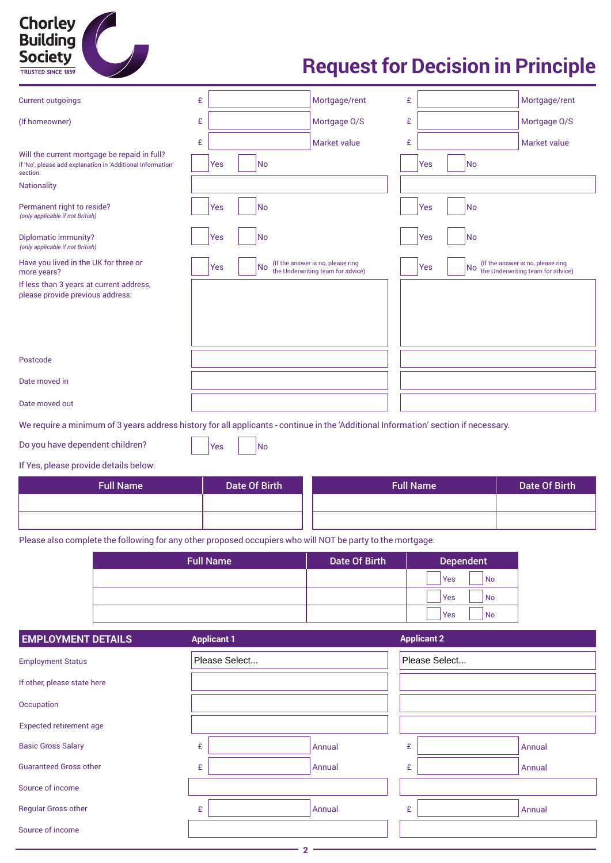## **Chorley<br>Building** Society TRUSTED SINCE 1859

## **Request for Decision in Principle**

| <b>Current outgoings</b>                                                                                                            | £ |                      | Mortgage/rent                                                          | £ |                  | Mortgage/rent                                                          |
|-------------------------------------------------------------------------------------------------------------------------------------|---|----------------------|------------------------------------------------------------------------|---|------------------|------------------------------------------------------------------------|
| (If homeowner)                                                                                                                      | £ |                      | Mortgage O/S                                                           | £ |                  | Mortgage O/S                                                           |
|                                                                                                                                     | £ |                      | Market value                                                           | £ |                  | Market value                                                           |
| Will the current mortgage be repaid in full?<br>If 'No', please add explanation in 'Additional Information'<br>section.             |   | Yes<br>No            |                                                                        |   | No<br>Yes        |                                                                        |
| <b>Nationality</b>                                                                                                                  |   |                      |                                                                        |   |                  |                                                                        |
| Permanent right to reside?<br>(only applicable if not British)                                                                      |   | No<br>Yes            |                                                                        |   | No<br>Yes        |                                                                        |
| Diplomatic immunity?<br>(only applicable if not British)                                                                            |   | No<br>Yes            |                                                                        |   | Yes<br>No        |                                                                        |
| Have you lived in the UK for three or<br>more years?                                                                                |   | No.<br>Yes           | (If the answer is no, please ring<br>the Underwriting team for advice) |   | Yes<br>No.       | (If the answer is no, please ring<br>the Underwriting team for advice) |
| If less than 3 years at current address,<br>please provide previous address:                                                        |   |                      |                                                                        |   |                  |                                                                        |
| Postcode                                                                                                                            |   |                      |                                                                        |   |                  |                                                                        |
| Date moved in                                                                                                                       |   |                      |                                                                        |   |                  |                                                                        |
| Date moved out                                                                                                                      |   |                      |                                                                        |   |                  |                                                                        |
| We require a minimum of 3 years address history for all applicants - continue in the 'Additional Information' section if necessary. |   |                      |                                                                        |   |                  |                                                                        |
| Do you have dependent children?                                                                                                     |   | No<br>Yes            |                                                                        |   |                  |                                                                        |
| If Yes, please provide details below:                                                                                               |   |                      |                                                                        |   |                  |                                                                        |
| <b>Full Name</b>                                                                                                                    |   | <b>Date Of Birth</b> |                                                                        |   | <b>Full Name</b> | <b>Date Of Birth</b>                                                   |
|                                                                                                                                     |   |                      |                                                                        |   |                  |                                                                        |

Please also complete the following for any other proposed occupiers who will NOT be party to the mortgage:

| <b>Full Name</b> | <b>Date Of Birth</b> | <b>Dependent</b> |
|------------------|----------------------|------------------|
|                  |                      | <b>No</b><br>Yes |
|                  |                      | Yes<br><b>No</b> |
|                  |                      | Yes<br><b>No</b> |

| <b>EMPLOYMENT DETAILS</b>      | <b>Applicant 1</b> |  |        | <b>Applicant 2</b> |  |        |  |
|--------------------------------|--------------------|--|--------|--------------------|--|--------|--|
| <b>Employment Status</b>       | Please Select      |  |        | Please Select      |  |        |  |
| If other, please state here    |                    |  |        |                    |  |        |  |
| Occupation                     |                    |  |        |                    |  |        |  |
| <b>Expected retirement age</b> |                    |  |        |                    |  |        |  |
| <b>Basic Gross Salary</b>      | £                  |  | Annual | £                  |  | Annual |  |
| <b>Guaranteed Gross other</b>  | £                  |  | Annual | £                  |  | Annual |  |
| Source of income               |                    |  |        |                    |  |        |  |
| <b>Regular Gross other</b>     | £                  |  | Annual | £                  |  | Annual |  |
| Source of income               |                    |  |        |                    |  |        |  |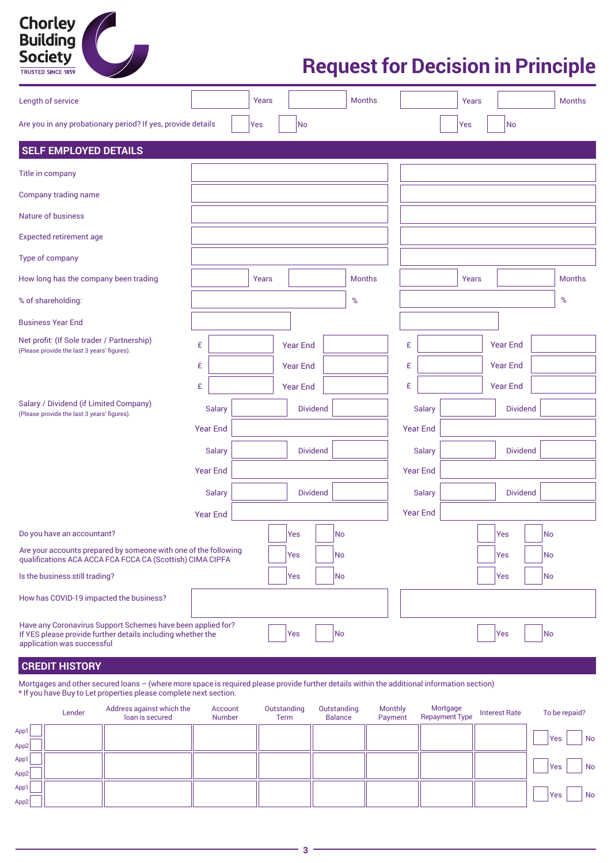| Chorley<br>Building<br>Society |  |
|--------------------------------|--|
| <b>TRUSTED SINCE 1859</b>      |  |

| Length of service                                                                                                                                                                  |                 | Years |                 |    | <b>Months</b> |   |                 | Years |                 |    | <b>Months</b> |
|------------------------------------------------------------------------------------------------------------------------------------------------------------------------------------|-----------------|-------|-----------------|----|---------------|---|-----------------|-------|-----------------|----|---------------|
| Are you in any probationary period? If yes, provide details                                                                                                                        |                 | Yes   | No              |    |               |   |                 | Yes   | No              |    |               |
| <b>SELF EMPLOYED DETAILS</b>                                                                                                                                                       |                 |       |                 |    |               |   |                 |       |                 |    |               |
| Title in company                                                                                                                                                                   |                 |       |                 |    |               |   |                 |       |                 |    |               |
| Company trading name                                                                                                                                                               |                 |       |                 |    |               |   |                 |       |                 |    |               |
| <b>Nature of business</b>                                                                                                                                                          |                 |       |                 |    |               |   |                 |       |                 |    |               |
| <b>Expected retirement age</b>                                                                                                                                                     |                 |       |                 |    |               |   |                 |       |                 |    |               |
| Type of company                                                                                                                                                                    |                 |       |                 |    |               |   |                 |       |                 |    |               |
| How long has the company been trading                                                                                                                                              |                 | Years |                 |    | <b>Months</b> |   |                 | Years |                 |    | <b>Months</b> |
| % of shareholding:                                                                                                                                                                 |                 |       |                 |    | %             |   |                 |       |                 |    | %             |
| <b>Business Year End</b>                                                                                                                                                           |                 |       |                 |    |               |   |                 |       |                 |    |               |
| Net profit: (If Sole trader / Partnership)<br>(Please provide the last 3 years' figures).                                                                                          | £               |       | <b>Year End</b> |    |               | £ |                 |       | <b>Year End</b> |    |               |
|                                                                                                                                                                                    | £               |       | <b>Year End</b> |    |               | £ |                 |       | <b>Year End</b> |    |               |
|                                                                                                                                                                                    | £               |       | <b>Year End</b> |    |               | £ |                 |       | <b>Year End</b> |    |               |
| Salary / Dividend (if Limited Company)<br>(Please provide the last 3 years' figures).                                                                                              | <b>Salary</b>   |       | <b>Dividend</b> |    |               |   | <b>Salary</b>   |       | <b>Dividend</b> |    |               |
|                                                                                                                                                                                    | <b>Year End</b> |       |                 |    |               |   | <b>Year End</b> |       |                 |    |               |
|                                                                                                                                                                                    | <b>Salary</b>   |       | <b>Dividend</b> |    |               |   | <b>Salary</b>   |       | <b>Dividend</b> |    |               |
|                                                                                                                                                                                    | <b>Year End</b> |       |                 |    |               |   | <b>Year End</b> |       |                 |    |               |
|                                                                                                                                                                                    | <b>Salary</b>   |       | <b>Dividend</b> |    |               |   | <b>Salary</b>   |       | <b>Dividend</b> |    |               |
|                                                                                                                                                                                    | <b>Year End</b> |       |                 |    |               |   | <b>Year End</b> |       |                 |    |               |
| Do you have an accountant?                                                                                                                                                         |                 |       | Yes             | No |               |   |                 |       | Yes             | No |               |
| Are your accounts prepared by someone with one of the following<br>qualifications ACA ACCA FCA FCCA CA (Scottish) CIMA CIPFA                                                       |                 |       | Yes             | No |               |   |                 |       | Yes             | No |               |
| Is the business still trading?                                                                                                                                                     |                 |       | Yes             | No |               |   |                 |       | Yes             | No |               |
| How has COVID-19 impacted the business?                                                                                                                                            |                 |       |                 |    |               |   |                 |       |                 |    |               |
| Have any Coronavirus Support Schemes have been applied for?<br>No<br>No<br>If YES please provide further details including whether the<br>Yes<br>Yes<br>application was successful |                 |       |                 |    |               |   |                 |       |                 |    |               |
| <b>CREDIT HISTORY</b>                                                                                                                                                              |                 |       |                 |    |               |   |                 |       |                 |    |               |

Mortgages and other secured loans – (where more space is required please provide further details within the additional information section) \* If you have Buy to Let properties please complete next section.

|              | Lender | Address against which the<br>loan is secured | Account<br>Number | Outstanding<br>Term | Outstanding<br>Balance | <b>Monthly</b><br>Payment | Mortgage<br><b>Repayment Type</b> | <b>Interest Rate</b> | To be repaid? |
|--------------|--------|----------------------------------------------|-------------------|---------------------|------------------------|---------------------------|-----------------------------------|----------------------|---------------|
| App1         |        |                                              |                   |                     |                        |                           |                                   |                      | Yes<br>No     |
| App2<br>App1 |        |                                              |                   |                     |                        |                           |                                   |                      |               |
| App2         |        |                                              |                   |                     |                        |                           |                                   |                      | Yes<br>No     |
| App1         |        |                                              |                   |                     |                        |                           |                                   |                      | Yes<br>No     |
| App2         |        |                                              |                   |                     |                        |                           |                                   |                      |               |

**3**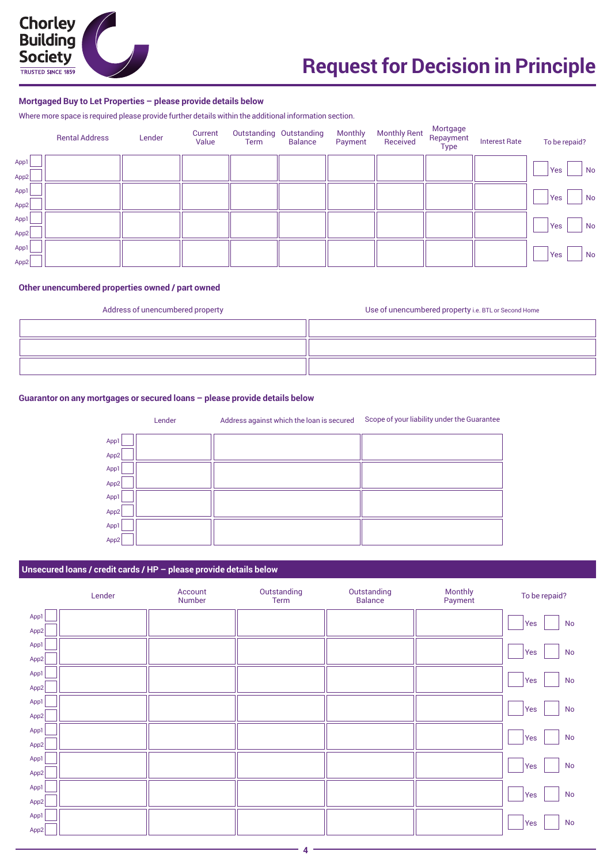

#### **Mortgaged Buy to Let Properties – please provide details below**

Where more space is required please provide further details within the additional information section.

|      | <b>Rental Address</b> | Lender | Current<br>Value | Term | Outstanding Outstanding<br><b>Balance</b> | <b>Monthly</b><br>Payment | <b>Monthly Rent</b><br>Received | Mortgage<br>Repayment<br><b>Type</b> | <b>Interest Rate</b> | To be repaid? |
|------|-----------------------|--------|------------------|------|-------------------------------------------|---------------------------|---------------------------------|--------------------------------------|----------------------|---------------|
| App1 |                       |        |                  |      |                                           |                           |                                 |                                      |                      | Yes<br>No     |
| App2 |                       |        |                  |      |                                           |                           |                                 |                                      |                      |               |
| App1 |                       |        |                  |      |                                           |                           |                                 |                                      |                      | Yes<br>No     |
| App2 |                       |        |                  |      |                                           |                           |                                 |                                      |                      |               |
| App1 |                       |        |                  |      |                                           |                           |                                 |                                      |                      | Yes<br>No     |
| App2 |                       |        |                  |      |                                           |                           |                                 |                                      |                      |               |
| App1 |                       |        |                  |      |                                           |                           |                                 |                                      |                      | No<br>Yes     |
| App2 |                       |        |                  |      |                                           |                           |                                 |                                      |                      |               |

#### **Other unencumbered properties owned / part owned**

| Address of unencumbered property | Use of unencumbered property i.e. BTL or Second Home |
|----------------------------------|------------------------------------------------------|
|                                  |                                                      |
|                                  |                                                      |
|                                  |                                                      |

#### **Guarantor on any mortgages or secured loans – please provide details below**

Lender Address against which the loan is secured Scope of your liability under the Guarantee

| App1                 |  |
|----------------------|--|
|                      |  |
|                      |  |
| App2                 |  |
| App1                 |  |
|                      |  |
| App1                 |  |
| App2                 |  |
| App2<br>App1<br>App2 |  |

#### **Unsecured loans / credit cards / HP – please provide details below**

|      | Lender | Account<br>Number | Outstanding<br>Term | Outstanding<br><b>Balance</b> | Monthly<br>Payment | To be repaid?        |
|------|--------|-------------------|---------------------|-------------------------------|--------------------|----------------------|
| App1 |        |                   |                     |                               |                    | <b>No</b><br>Yes     |
| App2 |        |                   |                     |                               |                    |                      |
| App1 |        |                   |                     |                               |                    | <b>No</b><br>Yes     |
| App2 |        |                   |                     |                               |                    |                      |
| App1 |        |                   |                     |                               |                    | $\mathsf{No}$<br>Yes |
| App2 |        |                   |                     |                               |                    |                      |
| App1 |        |                   |                     |                               |                    | No<br>Yes            |
| App2 |        |                   |                     |                               |                    |                      |
| App1 |        |                   |                     |                               |                    | <b>No</b><br>Yes     |
| App2 |        |                   |                     |                               |                    |                      |
| App1 |        |                   |                     |                               |                    | No<br>Yes            |
| App2 |        |                   |                     |                               |                    |                      |
| App1 |        |                   |                     |                               |                    | <b>No</b><br>Yes     |
| App2 |        |                   |                     |                               |                    |                      |
| App1 |        |                   |                     |                               |                    | No<br>Yes            |
| App2 |        |                   |                     |                               |                    |                      |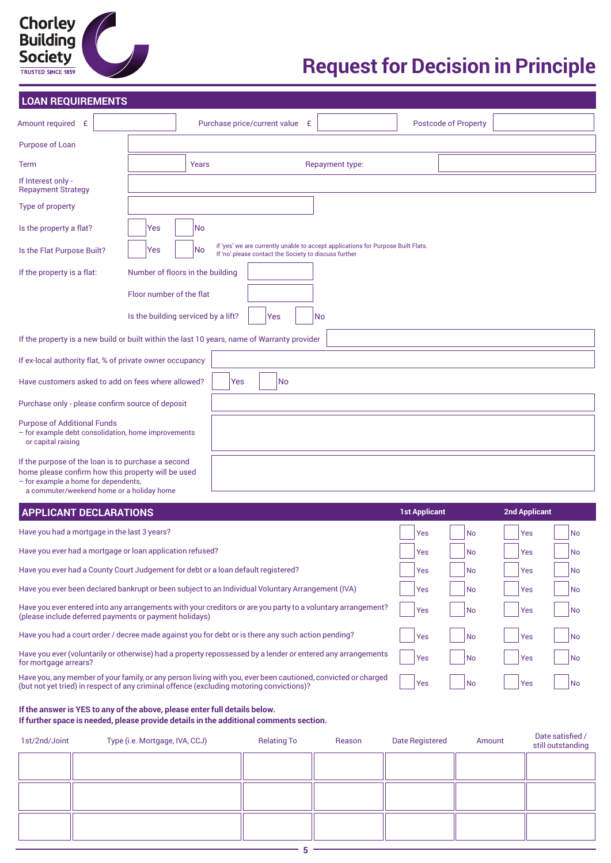| <b>Chorley</b><br><b>Building</b><br><b>Society</b> |  |
|-----------------------------------------------------|--|
| <b>TRUSTED SINCE 1859</b>                           |  |

Yes

| <b>LOAN REQUIREMENTS</b>                                                                                                                                                                      |                                     |           |     |                                                       |                                                                                  |                      |                             |                      |           |  |
|-----------------------------------------------------------------------------------------------------------------------------------------------------------------------------------------------|-------------------------------------|-----------|-----|-------------------------------------------------------|----------------------------------------------------------------------------------|----------------------|-----------------------------|----------------------|-----------|--|
| Amount required £                                                                                                                                                                             |                                     |           |     | Purchase price/current value £                        |                                                                                  |                      | <b>Postcode of Property</b> |                      |           |  |
| Purpose of Loan                                                                                                                                                                               |                                     |           |     |                                                       |                                                                                  |                      |                             |                      |           |  |
| <b>Term</b>                                                                                                                                                                                   |                                     | Years     |     |                                                       | Repayment type:                                                                  |                      |                             |                      |           |  |
| If Interest only -<br><b>Repayment Strategy</b>                                                                                                                                               |                                     |           |     |                                                       |                                                                                  |                      |                             |                      |           |  |
| Type of property                                                                                                                                                                              |                                     |           |     |                                                       |                                                                                  |                      |                             |                      |           |  |
| Is the property a flat?                                                                                                                                                                       | Yes                                 | No.       |     |                                                       |                                                                                  |                      |                             |                      |           |  |
| Is the Flat Purpose Built?                                                                                                                                                                    | Yes                                 | <b>No</b> |     | If 'no' please contact the Society to discuss further | if 'yes' we are currently unable to accept applications for Purpose Built Flats. |                      |                             |                      |           |  |
| If the property is a flat:                                                                                                                                                                    | Number of floors in the building    |           |     |                                                       |                                                                                  |                      |                             |                      |           |  |
|                                                                                                                                                                                               | Floor number of the flat            |           |     |                                                       |                                                                                  |                      |                             |                      |           |  |
|                                                                                                                                                                                               | Is the building serviced by a lift? |           |     | Yes                                                   | No                                                                               |                      |                             |                      |           |  |
| If the property is a new build or built within the last 10 years, name of Warranty provider                                                                                                   |                                     |           |     |                                                       |                                                                                  |                      |                             |                      |           |  |
| If ex-local authority flat, % of private owner occupancy                                                                                                                                      |                                     |           |     |                                                       |                                                                                  |                      |                             |                      |           |  |
| Have customers asked to add on fees where allowed?                                                                                                                                            |                                     |           | Yes | No.                                                   |                                                                                  |                      |                             |                      |           |  |
| Purchase only - please confirm source of deposit                                                                                                                                              |                                     |           |     |                                                       |                                                                                  |                      |                             |                      |           |  |
| <b>Purpose of Additional Funds</b><br>- for example debt consolidation, home improvements<br>or capital raising                                                                               |                                     |           |     |                                                       |                                                                                  |                      |                             |                      |           |  |
| If the purpose of the loan is to purchase a second<br>home please confirm how this property will be used<br>- for example a home for dependents,<br>a commuter/weekend home or a holiday home |                                     |           |     |                                                       |                                                                                  |                      |                             |                      |           |  |
| <b>APPLICANT DECLARATIONS</b>                                                                                                                                                                 |                                     |           |     |                                                       |                                                                                  | <b>1st Applicant</b> |                             | <b>2nd Applicant</b> |           |  |
| Have you had a mortgage in the last 3 years?                                                                                                                                                  |                                     |           |     |                                                       |                                                                                  | Yes                  | <b>No</b>                   | Yes                  | <b>No</b> |  |

Have you ever had a mortgage or loan application refused? Have you ever had a County Court Judgement for debt or a loan default registered? Have you ever been declared bankrupt or been subject to an Individual Voluntary Arrangement (IVA) Have you ever entered into any arrangements with your creditors or are you party to a voluntary arrangement? (please include deferred payments or payment holidays) Have you had a court order / decree made against you for debt or is there any such action pending? Have you ever (voluntarily or otherwise) had a property repossessed by a lender or entered any arrangements for mortgage arrears? Have you, any member of your family, or any person living with you, ever been cautioned, convicted or charged Yes No  $Yes$   $\vert$   $\vert$  No Yes | No Yes | No  $Yes$   $|$   $|$   $No$ Yes | No  $Yes$   $|$   $|$   $|$   $|$   $|$ Yes | No Yes | No  $Yes$   $|$   $|$   $|$   $|$   $|$ Yes Yes No No Yes No No

**If the answer is YES to any of the above, please enter full details below.** 

(but not yet tried) in respect of any criminal offence (excluding motoring convictions)?

**If further space is needed, please provide details in the additional comments section.**

| 1st/2nd/Joint | Type (i.e. Mortgage, IVA, CCJ) | <b>Relating To</b> | Reason | <b>Date Registered</b> | Amount | Date satisfied /<br>still outstanding |
|---------------|--------------------------------|--------------------|--------|------------------------|--------|---------------------------------------|
|               |                                |                    |        |                        |        |                                       |
|               |                                |                    |        |                        |        |                                       |
|               |                                |                    |        |                        |        |                                       |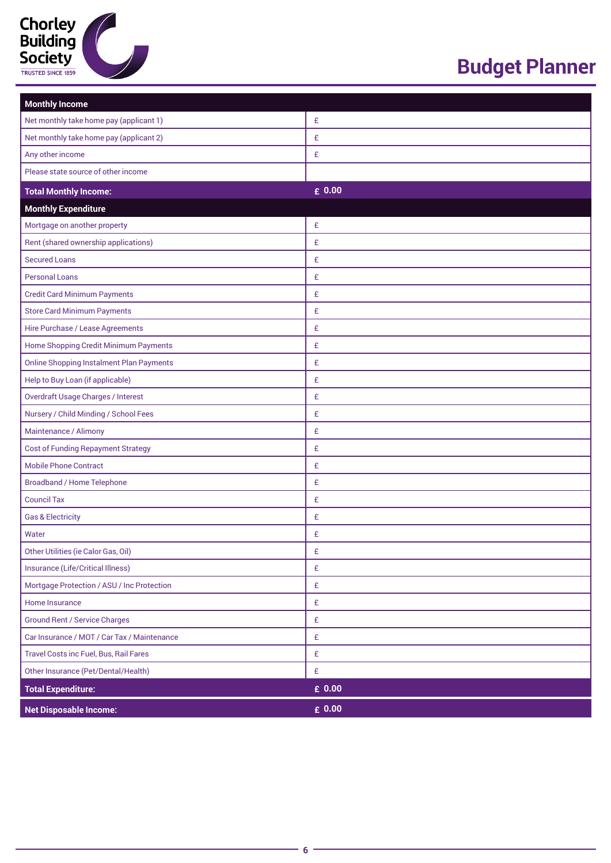

## **Budget Planner**

| <b>Monthly Income</b>                           |                 |
|-------------------------------------------------|-----------------|
| Net monthly take home pay (applicant 1)         | £               |
| Net monthly take home pay (applicant 2)         | £               |
| Any other income                                | £               |
| Please state source of other income             |                 |
| <b>Total Monthly Income:</b>                    | $\epsilon$ 0.00 |
| <b>Monthly Expenditure</b>                      |                 |
| Mortgage on another property                    | £               |
| Rent (shared ownership applications)            | £               |
| <b>Secured Loans</b>                            | £               |
| <b>Personal Loans</b>                           | £               |
| <b>Credit Card Minimum Payments</b>             | £               |
| <b>Store Card Minimum Payments</b>              | £               |
| Hire Purchase / Lease Agreements                | £               |
| Home Shopping Credit Minimum Payments           | £               |
| <b>Online Shopping Instalment Plan Payments</b> | £               |
| Help to Buy Loan (if applicable)                | £               |
| <b>Overdraft Usage Charges / Interest</b>       | £               |
| Nursery / Child Minding / School Fees           | £               |
| Maintenance / Alimony                           | £               |
| <b>Cost of Funding Repayment Strategy</b>       | £               |
| <b>Mobile Phone Contract</b>                    | £               |
| <b>Broadband / Home Telephone</b>               | £               |
| <b>Council Tax</b>                              | £               |
| <b>Gas &amp; Electricity</b>                    | £               |
| Water                                           | £               |
| Other Utilities (ie Calor Gas, Oil)             | £               |
| Insurance (Life/Critical Illness)               | £               |
| Mortgage Protection / ASU / Inc Protection      | £               |
| Home Insurance                                  | £               |
| <b>Ground Rent / Service Charges</b>            | £               |
| Car Insurance / MOT / Car Tax / Maintenance     | £               |
| Travel Costs inc Fuel, Bus, Rail Fares          | £               |
| Other Insurance (Pet/Dental/Health)             | £               |
| <b>Total Expenditure:</b>                       | $E$ 0.00        |
| <b>Net Disposable Income:</b>                   | $\epsilon$ 0.00 |